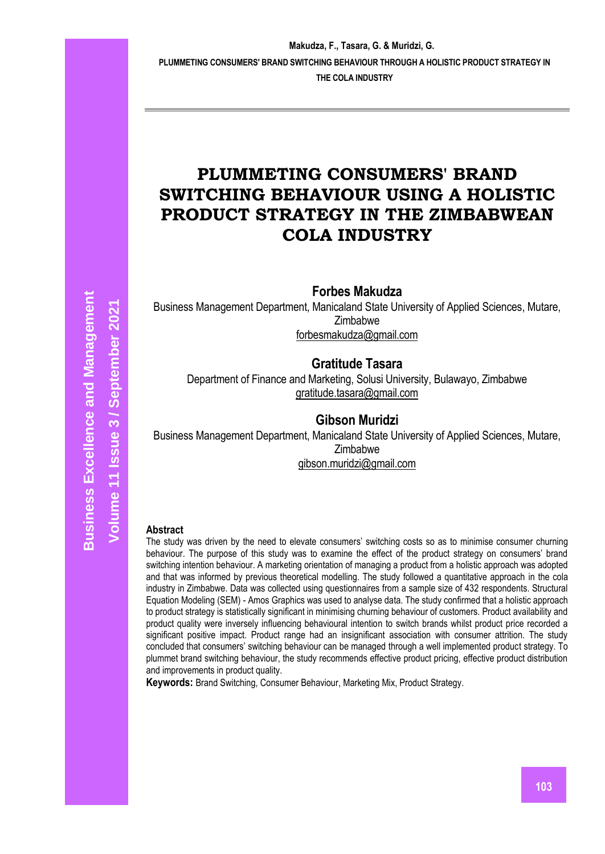# **PLUMMETING CONSUMERS' BRAND SWITCHING BEHAVIOUR USING A HOLISTIC PRODUCT STRATEGY IN THE ZIMBABWEAN COLA INDUSTRY**

**Forbes Makudza**

Business Management Department, Manicaland State University of Applied Sciences, Mutare, Zimbabwe [forbesmakudza@gmail.com](mailto:forbesmakudza@gmail.com)

# **Gratitude Tasara**

Department of Finance and Marketing, Solusi University, Bulawayo, Zimbabwe [gratitude.tasara@gmail.com](mailto:gratitude.tasara@gmail.com)

# **Gibson Muridzi**

Business Management Department, Manicaland State University of Applied Sciences, Mutare, **Zimbabwe** [gibson.muridzi@gmail.com](mailto:gibson.muridzi@gmail.com)

#### **Abstract**

The study was driven by the need to elevate consumers' switching costs so as to minimise consumer churning behaviour. The purpose of this study was to examine the effect of the product strategy on consumers' brand switching intention behaviour. A marketing orientation of managing a product from a holistic approach was adopted and that was informed by previous theoretical modelling. The study followed a quantitative approach in the cola industry in Zimbabwe. Data was collected using questionnaires from a sample size of 432 respondents. Structural Equation Modeling (SEM) - Amos Graphics was used to analyse data. The study confirmed that a holistic approach to product strategy is statistically significant in minimising churning behaviour of customers. Product availability and product quality were inversely influencing behavioural intention to switch brands whilst product price recorded a significant positive impact. Product range had an insignificant association with consumer attrition. The study concluded that consumers' switching behaviour can be managed through a well implemented product strategy. To plummet brand switching behaviour, the study recommends effective product pricing, effective product distribution and improvements in product quality.

**Keywords:** Brand Switching, Consumer Behaviour, Marketing Mix, Product Strategy.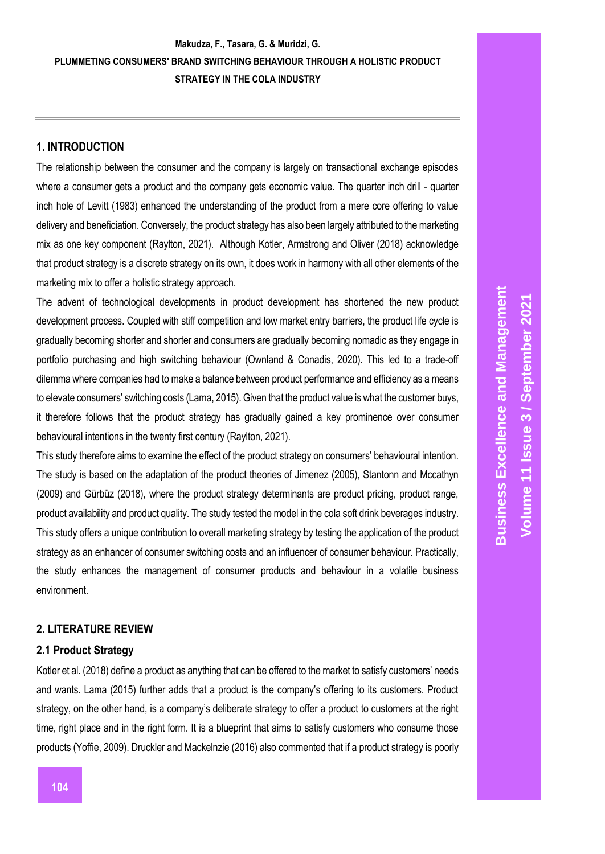# **1. INTRODUCTION**

The relationship between the consumer and the company is largely on transactional exchange episodes where a consumer gets a product and the company gets economic value. The quarter inch drill - quarter inch hole of Levitt (1983) enhanced the understanding of the product from a mere core offering to value delivery and beneficiation. Conversely, the product strategy has also been largely attributed to the marketing mix as one key component (Raylton, 2021). Although Kotler, Armstrong and Oliver (2018) acknowledge that product strategy is a discrete strategy on its own, it does work in harmony with all other elements of the marketing mix to offer a holistic strategy approach.

The advent of technological developments in product development has shortened the new product development process. Coupled with stiff competition and low market entry barriers, the product life cycle is gradually becoming shorter and shorter and consumers are gradually becoming nomadic as they engage in portfolio purchasing and high switching behaviour (Ownland & Conadis, 2020). This led to a trade-off dilemma where companies had to make a balance between product performance and efficiency as a means to elevate consumers' switching costs (Lama, 2015). Given that the product value is what the customer buys, it therefore follows that the product strategy has gradually gained a key prominence over consumer behavioural intentions in the twenty first century (Raylton, 2021).

This study therefore aims to examine the effect of the product strategy on consumers' behavioural intention. The study is based on the adaptation of the product theories of Jimenez (2005), Stantonn and Mccathyn (2009) and Gürbüz (2018), where the product strategy determinants are product pricing, product range, product availability and product quality. The study tested the model in the cola soft drink beverages industry. This study offers a unique contribution to overall marketing strategy by testing the application of the product strategy as an enhancer of consumer switching costs and an influencer of consumer behaviour. Practically, the study enhances the management of consumer products and behaviour in a volatile business environment.

### **2. LITERATURE REVIEW**

### **2.1 Product Strategy**

Kotler et al. (2018) define a product as anything that can be offered to the market to satisfy customers' needs and wants. Lama (2015) further adds that a product is the company's offering to its customers. Product strategy, on the other hand, is a company's deliberate strategy to offer a product to customers at the right time, right place and in the right form. It is a blueprint that aims to satisfy customers who consume those products (Yoffie, 2009). Druckler and Mackelnzie (2016) also commented that if a product strategy is poorly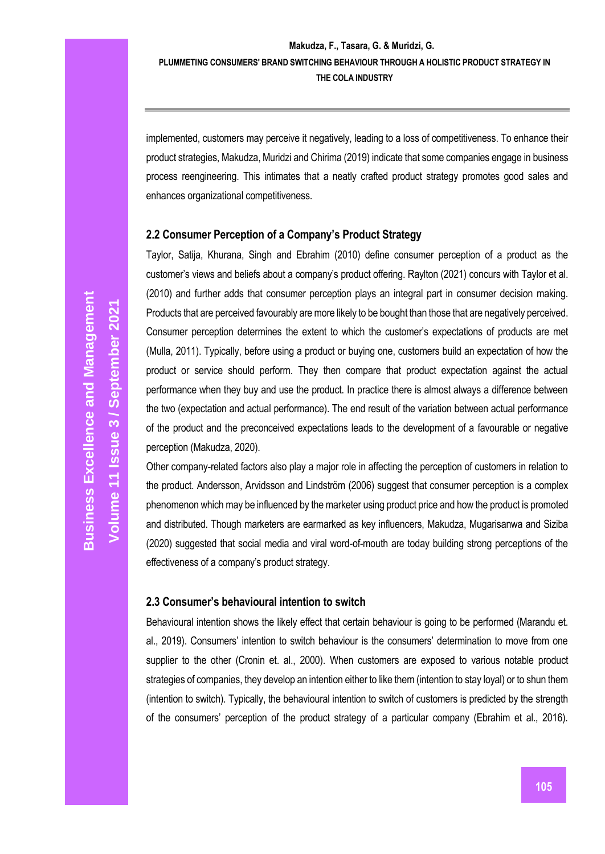implemented, customers may perceive it negatively, leading to a loss of competitiveness. To enhance their product strategies, Makudza, Muridzi and Chirima (2019) indicate that some companies engage in business process reengineering. This intimates that a neatly crafted product strategy promotes good sales and enhances organizational competitiveness.

### **2.2 Consumer Perception of a Company's Product Strategy**

Taylor, Satija, Khurana, Singh and Ebrahim (2010) define consumer perception of a product as the customer's views and beliefs about a company's product offering. Raylton (2021) concurs with Taylor et al. (2010) and further adds that consumer perception plays an integral part in consumer decision making. Products that are perceived favourably are more likely to be bought than those that are negatively perceived. Consumer perception determines the extent to which the customer's expectations of products are met (Mulla, 2011). Typically, before using a product or buying one, customers build an expectation of how the product or service should perform. They then compare that product expectation against the actual performance when they buy and use the product. In practice there is almost always a difference between the two (expectation and actual performance). The end result of the variation between actual performance of the product and the preconceived expectations leads to the development of a favourable or negative perception (Makudza, 2020).

Other company-related factors also play a major role in affecting the perception of customers in relation to the product. Andersson, Arvidsson and Lindström (2006) suggest that consumer perception is a complex phenomenon which may be influenced by the marketer using product price and how the product is promoted and distributed. Though marketers are earmarked as key influencers, Makudza, Mugarisanwa and Siziba (2020) suggested that social media and viral word-of-mouth are today building strong perceptions of the effectiveness of a company's product strategy.

#### **2.3 Consumer's behavioural intention to switch**

Behavioural intention shows the likely effect that certain behaviour is going to be performed (Marandu et. al., 2019). Consumers' intention to switch behaviour is the consumers' determination to move from one supplier to the other (Cronin et. al., 2000). When customers are exposed to various notable product strategies of companies, they develop an intention either to like them (intention to stay loyal) or to shun them (intention to switch). Typically, the behavioural intention to switch of customers is predicted by the strength of the consumers' perception of the product strategy of a particular company (Ebrahim et al., 2016).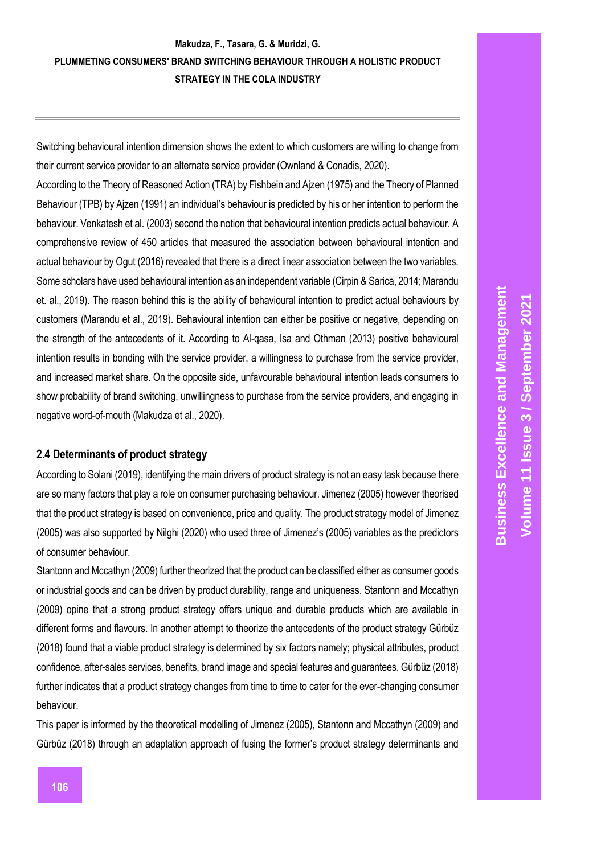Switching behavioural intention dimension shows the extent to which customers are willing to change from their current service provider to an alternate service provider (Ownland & Conadis, 2020).

According to the Theory of Reasoned Action (TRA) by Fishbein and Ajzen (1975) and the Theory of Planned Behaviour (TPB) by Ajzen (1991) an individual's behaviour is predicted by his or her intention to perform the behaviour. Venkatesh et al. (2003) second the notion that behavioural intention predicts actual behaviour. A comprehensive review of 450 articles that measured the association between behavioural intention and actual behaviour by Ogut (2016) revealed that there is a direct linear association between the two variables. Some scholars have used behavioural intention as an independent variable (Cirpin & Sarica, 2014; Marandu et. al., 2019). The reason behind this is the ability of behavioural intention to predict actual behaviours by customers (Marandu et al., 2019). Behavioural intention can either be positive or negative, depending on the strength of the antecedents of it. According to Al-qasa, Isa and Othman (2013) positive behavioural intention results in bonding with the service provider, a willingness to purchase from the service provider, and increased market share. On the opposite side, unfavourable behavioural intention leads consumers to show probability of brand switching, unwillingness to purchase from the service providers, and engaging in negative word-of-mouth (Makudza et al., 2020).

#### **2.4 Determinants of product strategy**

According to Solani (2019), identifying the main drivers of product strategy is not an easy task because there are so many factors that play a role on consumer purchasing behaviour. Jimenez (2005) however theorised that the product strategy is based on convenience, price and quality. The product strategy model of Jimenez (2005) was also supported by Nilghi (2020) who used three of Jimenez's (2005) variables as the predictors of consumer behaviour.

Stantonn and Mccathyn (2009) further theorized that the product can be classified either as consumer goods or industrial goods and can be driven by product durability, range and uniqueness. Stantonn and Mccathyn (2009) opine that a strong product strategy offers unique and durable products which are available in different forms and flavours. In another attempt to theorize the antecedents of the product strategy Gürbüz (2018) found that a viable product strategy is determined by six factors namely; physical attributes, product confidence, after-sales services, benefits, brand image and special features and guarantees. Gürbüz (2018) further indicates that a product strategy changes from time to time to cater for the ever-changing consumer behaviour.

This paper is informed by the theoretical modelling of Jimenez (2005), Stantonn and Mccathyn (2009) and Gürbüz (2018) through an adaptation approach of fusing the former's product strategy determinants and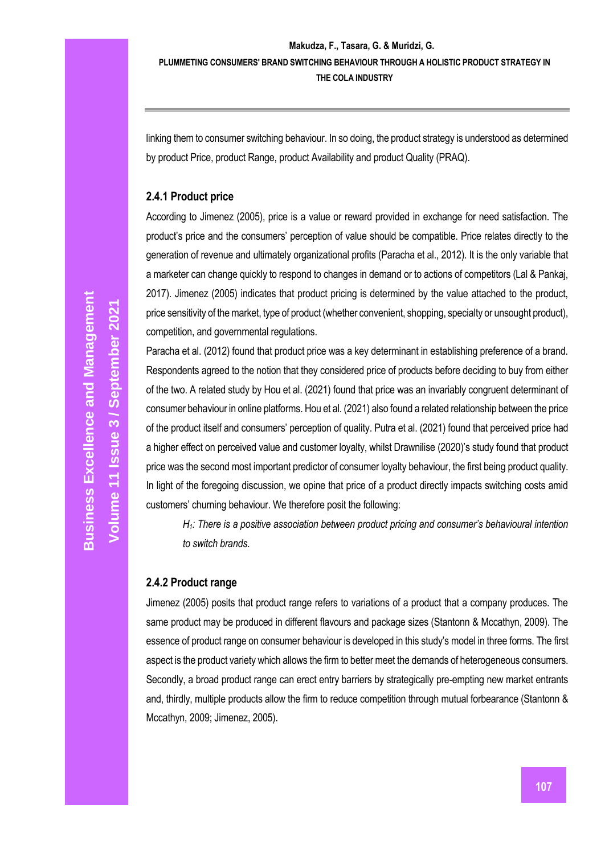linking them to consumer switching behaviour. In so doing, the product strategy is understood as determined by product Price, product Range, product Availability and product Quality (PRAQ).

#### **2.4.1 Product price**

According to Jimenez (2005), price is a value or reward provided in exchange for need satisfaction. The product's price and the consumers' perception of value should be compatible. Price relates directly to the generation of revenue and ultimately organizational profits (Paracha et al., 2012). It is the only variable that a marketer can change quickly to respond to changes in demand or to actions of competitors (Lal & Pankaj, 2017). Jimenez (2005) indicates that product pricing is determined by the value attached to the product, price sensitivity of the market, type of product (whether convenient, shopping, specialty or unsought product), competition, and governmental regulations.

Paracha et al. (2012) found that product price was a key determinant in establishing preference of a brand. Respondents agreed to the notion that they considered price of products before deciding to buy from either of the two. A related study by Hou et al. (2021) found that price was an invariably congruent determinant of consumer behaviour in online platforms. Hou et al. (2021) also found a related relationship between the price of the product itself and consumers' perception of quality. Putra et al. (2021) found that perceived price had a higher effect on perceived value and customer loyalty, whilst Drawnilise (2020)'s study found that product price was the second most important predictor of consumer loyalty behaviour, the first being product quality. In light of the foregoing discussion, we opine that price of a product directly impacts switching costs amid customers' churning behaviour. We therefore posit the following:

*H1: There is a positive association between product pricing and consumer's behavioural intention to switch brands*.

### **2.4.2 Product range**

Jimenez (2005) posits that product range refers to variations of a product that a company produces. The same product may be produced in different flavours and package sizes (Stantonn & Mccathyn, 2009). The essence of product range on consumer behaviour is developed in this study's model in three forms. The first aspect is the product variety which allows the firm to better meet the demands of heterogeneous consumers. Secondly, a broad product range can erect entry barriers by strategically pre-empting new market entrants and, thirdly, multiple products allow the firm to reduce competition through mutual forbearance (Stantonn & Mccathyn, 2009; Jimenez, 2005).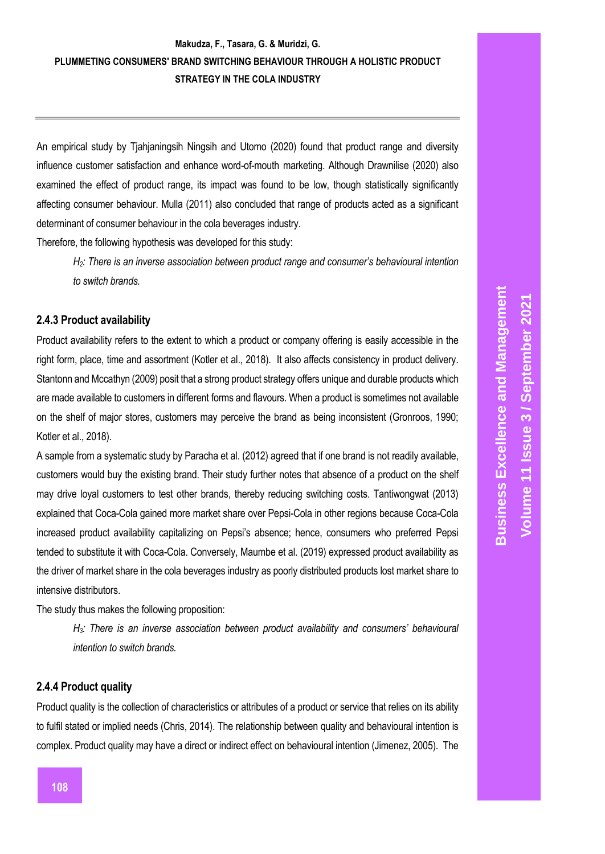An empirical study by Tjahjaningsih Ningsih and Utomo (2020) found that product range and diversity influence customer satisfaction and enhance word-of-mouth marketing. Although Drawnilise (2020) also examined the effect of product range, its impact was found to be low, though statistically significantly affecting consumer behaviour. Mulla (2011) also concluded that range of products acted as a significant determinant of consumer behaviour in the cola beverages industry.

Therefore, the following hypothesis was developed for this study:

*H2: There is an inverse association between product range and consumer's behavioural intention to switch brands.* 

#### **2.4.3 Product availability**

Product availability refers to the extent to which a product or company offering is easily accessible in the right form, place, time and assortment (Kotler et al., 2018). It also affects consistency in product delivery. Stantonn and Mccathyn (2009) posit that a strong product strategy offers unique and durable products which are made available to customers in different forms and flavours. When a product is sometimes not available on the shelf of major stores, customers may perceive the brand as being inconsistent (Gronroos, 1990; Kotler et al., 2018).

A sample from a systematic study by Paracha et al. (2012) agreed that if one brand is not readily available, customers would buy the existing brand. Their study further notes that absence of a product on the shelf may drive loyal customers to test other brands, thereby reducing switching costs. Tantiwongwat (2013) explained that Coca-Cola gained more market share over Pepsi-Cola in other regions because Coca-Cola increased product availability capitalizing on Pepsi's absence; hence, consumers who preferred Pepsi tended to substitute it with Coca-Cola. Conversely, Maumbe et al. (2019) expressed product availability as the driver of market share in the cola beverages industry as poorly distributed products lost market share to intensive distributors.

The study thus makes the following proposition:

*H*<sub>3</sub>*:* There is an inverse association between product availability and consumers' behavioural *intention to switch brands.* 

#### **2.4.4 Product quality**

Product quality is the collection of characteristics or attributes of a product or service that relies on its ability to fulfil stated or implied needs (Chris, 2014). The relationship between quality and behavioural intention is complex. Product quality may have a direct or indirect effect on behavioural intention (Jimenez, 2005). The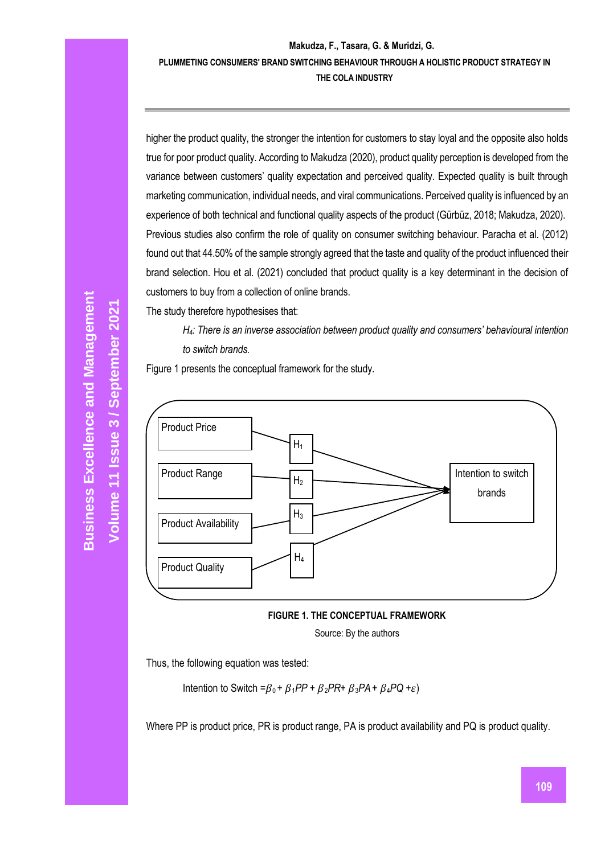higher the product quality, the stronger the intention for customers to stay loyal and the opposite also holds true for poor product quality. According to Makudza (2020), product quality perception is developed from the variance between customers' quality expectation and perceived quality. Expected quality is built through marketing communication, individual needs, and viral communications. Perceived quality is influenced by an experience of both technical and functional quality aspects of the product (Gürbüz, 2018; Makudza, 2020). Previous studies also confirm the role of quality on consumer switching behaviour. Paracha et al. (2012) found out that 44.50% of the sample strongly agreed that the taste and quality of the product influenced their brand selection. Hou et al. (2021) concluded that product quality is a key determinant in the decision of customers to buy from a collection of online brands.

The study therefore hypothesises that:

*H*<sub>4</sub>*:* There is an inverse association between product quality and consumers' behavioural intention *to switch brands.*

Figure 1 presents the conceptual framework for the study.



**FIGURE 1. THE CONCEPTUAL FRAMEWORK**

Source: By the authors

Thus, the following equation was tested:

Intention to Switch = $\beta_0$  +  $\beta_1$ *PP* +  $\beta_2$ *PR*+  $\beta_3$ *PA* +  $\beta_4$ *PQ* +  $\varepsilon$ )

Where PP is product price, PR is product range, PA is product availability and PQ is product quality.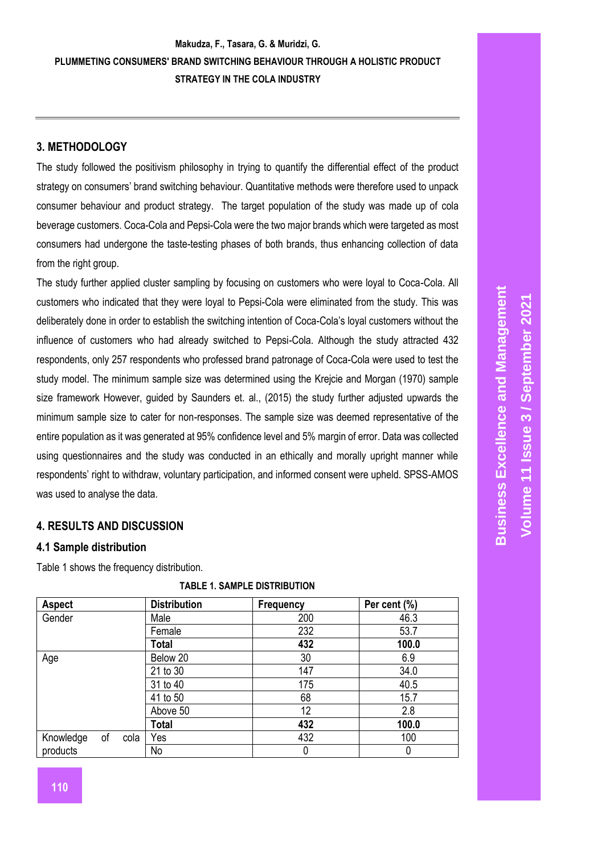# **3. METHODOLOGY**

The study followed the positivism philosophy in trying to quantify the differential effect of the product strategy on consumers' brand switching behaviour. Quantitative methods were therefore used to unpack consumer behaviour and product strategy. The target population of the study was made up of cola beverage customers. Coca-Cola and Pepsi-Cola were the two major brands which were targeted as most consumers had undergone the taste-testing phases of both brands, thus enhancing collection of data from the right group.

The study further applied cluster sampling by focusing on customers who were loyal to Coca-Cola. All customers who indicated that they were loyal to Pepsi-Cola were eliminated from the study. This was deliberately done in order to establish the switching intention of Coca-Cola's loyal customers without the influence of customers who had already switched to Pepsi-Cola. Although the study attracted 432 respondents, only 257 respondents who professed brand patronage of Coca-Cola were used to test the study model. The minimum sample size was determined using the Krejcie and Morgan (1970) sample size framework However, guided by Saunders et. al., (2015) the study further adjusted upwards the minimum sample size to cater for non-responses. The sample size was deemed representative of the entire population as it was generated at 95% confidence level and 5% margin of error. Data was collected using questionnaires and the study was conducted in an ethically and morally upright manner while respondents' right to withdraw, voluntary participation, and informed consent were upheld. SPSS-AMOS was used to analyse the data.

# **4. RESULTS AND DISCUSSION**

#### **4.1 Sample distribution**

Table 1 shows the frequency distribution.

| <b>Aspect</b> |    |      | <b>Distribution</b> | Per cent (%) |       |  |
|---------------|----|------|---------------------|--------------|-------|--|
| Gender        |    |      | Male                | 200          | 46.3  |  |
|               |    |      | Female              | 232          | 53.7  |  |
|               |    |      | <b>Total</b><br>432 |              | 100.0 |  |
| Age           |    |      | Below 20            | 30           | 6.9   |  |
|               |    |      | 21 to 30            | 147          | 34.0  |  |
|               |    |      | 31 to 40            | 175          | 40.5  |  |
|               |    |      | 41 to 50            | 68           | 15.7  |  |
|               |    |      | Above 50            | 12           | 2.8   |  |
|               |    |      | <b>Total</b>        | 432          | 100.0 |  |
| Knowledge     | of | cola | Yes                 | 432          | 100   |  |
| products      |    |      | No                  | 0            | 0     |  |

#### **TABLE 1. SAMPLE DISTRIBUTION**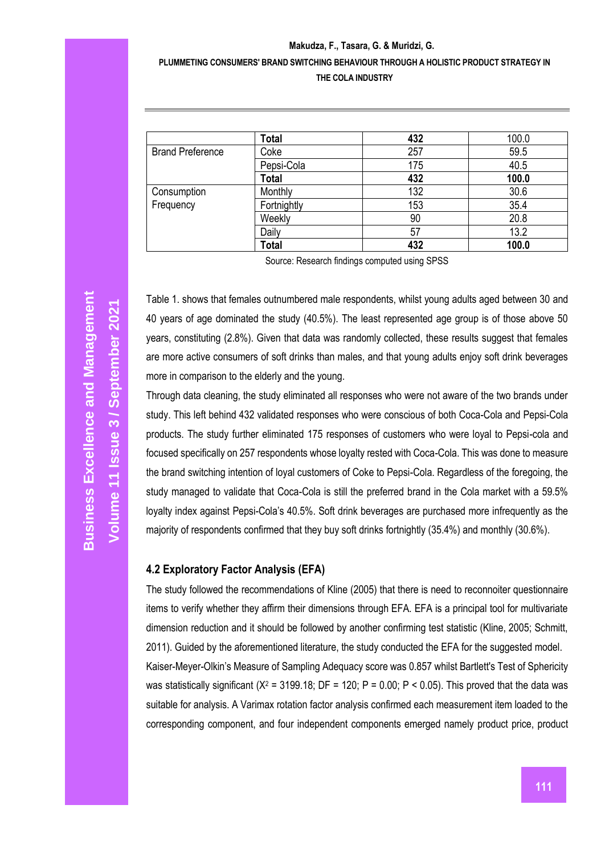|                         | <b>Total</b> | 432 | 100.0 |  |
|-------------------------|--------------|-----|-------|--|
| <b>Brand Preference</b> | Coke         | 257 | 59.5  |  |
|                         | Pepsi-Cola   | 175 | 40.5  |  |
|                         | <b>Total</b> | 432 | 100.0 |  |
| Consumption             | Monthly      | 132 | 30.6  |  |
| Frequency               | Fortnightly  | 153 | 35.4  |  |
|                         | Weekly       | 90  | 20.8  |  |
|                         | Daily        | 57  | 13.2  |  |
|                         | <b>Total</b> | 432 | 100.0 |  |

Source: Research findings computed using SPSS

Table 1. shows that females outnumbered male respondents, whilst young adults aged between 30 and 40 years of age dominated the study (40.5%). The least represented age group is of those above 50 years, constituting (2.8%). Given that data was randomly collected, these results suggest that females are more active consumers of soft drinks than males, and that young adults enjoy soft drink beverages more in comparison to the elderly and the young.

Through data cleaning, the study eliminated all responses who were not aware of the two brands under study. This left behind 432 validated responses who were conscious of both Coca-Cola and Pepsi-Cola products. The study further eliminated 175 responses of customers who were loyal to Pepsi-cola and focused specifically on 257 respondents whose loyalty rested with Coca-Cola. This was done to measure the brand switching intention of loyal customers of Coke to Pepsi-Cola. Regardless of the foregoing, the study managed to validate that Coca-Cola is still the preferred brand in the Cola market with a 59.5% loyalty index against Pepsi-Cola's 40.5%. Soft drink beverages are purchased more infrequently as the majority of respondents confirmed that they buy soft drinks fortnightly (35.4%) and monthly (30.6%).

#### **4.2 Exploratory Factor Analysis (EFA)**

The study followed the recommendations of Kline (2005) that there is need to reconnoiter questionnaire items to verify whether they affirm their dimensions through EFA. EFA is a principal tool for multivariate dimension reduction and it should be followed by another confirming test statistic (Kline, 2005; Schmitt, 2011). Guided by the aforementioned literature, the study conducted the EFA for the suggested model. Kaiser-Meyer-Olkin's Measure of Sampling Adequacy score was 0.857 whilst Bartlett's Test of Sphericity was statistically significant ( $X^2$  = 3199.18; DF = 120; P = 0.00; P < 0.05). This proved that the data was suitable for analysis. A Varimax rotation factor analysis confirmed each measurement item loaded to the corresponding component, and four independent components emerged namely product price, product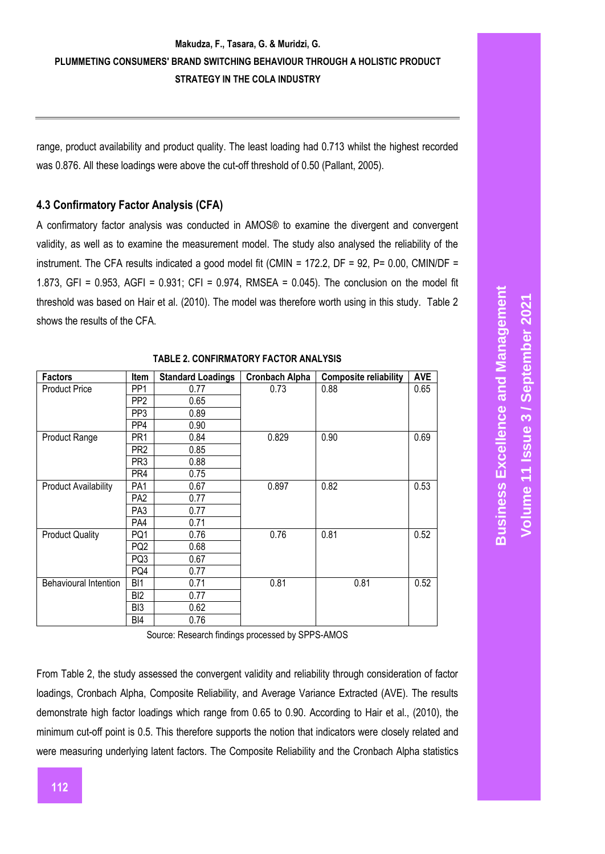range, product availability and product quality. The least loading had 0.713 whilst the highest recorded was 0.876. All these loadings were above the cut-off threshold of 0.50 (Pallant, 2005).

# **4.3 Confirmatory Factor Analysis (CFA)**

A confirmatory factor analysis was conducted in AMOS® to examine the divergent and convergent validity, as well as to examine the measurement model. The study also analysed the reliability of the instrument. The CFA results indicated a good model fit (CMIN = 172.2, DF = 92, P= 0.00, CMIN/DF = 1.873, GFI = 0.953, AGFI = 0.931; CFI = 0.974, RMSEA = 0.045). The conclusion on the model fit threshold was based on Hair et al. (2010). The model was therefore worth using in this study. Table 2 shows the results of the CFA.

| <b>Factors</b>              | <b>Item</b>     | <b>Standard Loadings</b> | <b>Cronbach Alpha</b> | <b>Composite reliability</b> | <b>AVE</b> |
|-----------------------------|-----------------|--------------------------|-----------------------|------------------------------|------------|
| <b>Product Price</b>        | PP <sub>1</sub> | 0.77                     | 0.73                  | 0.88                         | 0.65       |
|                             | PP <sub>2</sub> | 0.65                     |                       |                              |            |
|                             | PP <sub>3</sub> | 0.89                     |                       |                              |            |
|                             | PP4             | 0.90                     |                       |                              |            |
| <b>Product Range</b>        | PR <sub>1</sub> | 0.84                     | 0.829                 | 0.90                         | 0.69       |
|                             | PR <sub>2</sub> | 0.85                     |                       |                              |            |
|                             | PR <sub>3</sub> | 0.88                     |                       |                              |            |
|                             | PR4             | 0.75                     |                       |                              |            |
| <b>Product Availability</b> | PA1             | 0.67                     | 0.897                 | 0.82                         | 0.53       |
|                             | PA2             | 0.77                     |                       |                              |            |
|                             | PA3             | 0.77                     |                       |                              |            |
|                             | PA4             | 0.71                     |                       |                              |            |
| <b>Product Quality</b>      | PQ1             | 0.76                     | 0.76                  | 0.81                         | 0.52       |
|                             | PQ2             | 0.68                     |                       |                              |            |
|                             | PQ3             | 0.67                     |                       |                              |            |
|                             | PQ4             | 0.77                     |                       |                              |            |
| Behavioural Intention       | BI1             | 0.71                     | 0.81                  | 0.81                         | 0.52       |
|                             | BI <sub>2</sub> | 0.77                     |                       |                              |            |
|                             | BI3             | 0.62                     |                       |                              |            |
|                             | BI4             | 0.76                     |                       |                              |            |

#### **TABLE 2. CONFIRMATORY FACTOR ANALYSIS**

Source: Research findings processed by SPPS-AMOS

From Table 2, the study assessed the convergent validity and reliability through consideration of factor loadings, Cronbach Alpha, Composite Reliability, and Average Variance Extracted (AVE). The results demonstrate high factor loadings which range from 0.65 to 0.90. According to Hair et al., (2010), the minimum cut-off point is 0.5. This therefore supports the notion that indicators were closely related and were measuring underlying latent factors. The Composite Reliability and the Cronbach Alpha statistics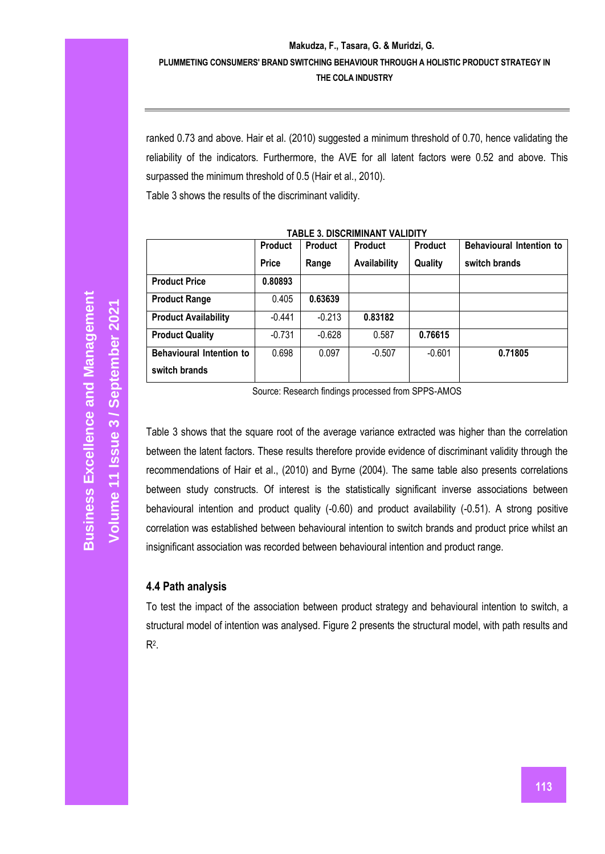ranked 0.73 and above. Hair et al. (2010) suggested a minimum threshold of 0.70, hence validating the reliability of the indicators. Furthermore, the AVE for all latent factors were 0.52 and above. This surpassed the minimum threshold of 0.5 (Hair et al., 2010). Table 3 shows the results of the discriminant validity.

| TABLE 3. DISURININAN E VALIDI F |                |                |                |                |                                 |  |
|---------------------------------|----------------|----------------|----------------|----------------|---------------------------------|--|
|                                 | <b>Product</b> | <b>Product</b> | <b>Product</b> | <b>Product</b> | <b>Behavioural Intention to</b> |  |
|                                 | <b>Price</b>   | Range          | Availability   | Quality        | switch brands                   |  |
| <b>Product Price</b>            | 0.80893        |                |                |                |                                 |  |
| <b>Product Range</b>            | 0.405          | 0.63639        |                |                |                                 |  |
| <b>Product Availability</b>     | $-0.441$       | $-0.213$       | 0.83182        |                |                                 |  |
| <b>Product Quality</b>          | $-0.731$       | $-0.628$       | 0.587          | 0.76615        |                                 |  |
| Behavioural Intention to        | 0.698          | 0.097          | $-0.507$       | $-0.601$       | 0.71805                         |  |
| switch brands                   |                |                |                |                |                                 |  |

**TABLE 3. DISCRIMINANT VALIDITY**

Table 3 shows that the square root of the average variance extracted was higher than the correlation between the latent factors. These results therefore provide evidence of discriminant validity through the recommendations of Hair et al., (2010) and Byrne (2004). The same table also presents correlations between study constructs. Of interest is the statistically significant inverse associations between behavioural intention and product quality (-0.60) and product availability (-0.51). A strong positive correlation was established between behavioural intention to switch brands and product price whilst an insignificant association was recorded between behavioural intention and product range.

### **4.4 Path analysis**

To test the impact of the association between product strategy and behavioural intention to switch, a structural model of intention was analysed. Figure 2 presents the structural model, with path results and  $R^2$ .

Source: Research findings processed from SPPS-AMOS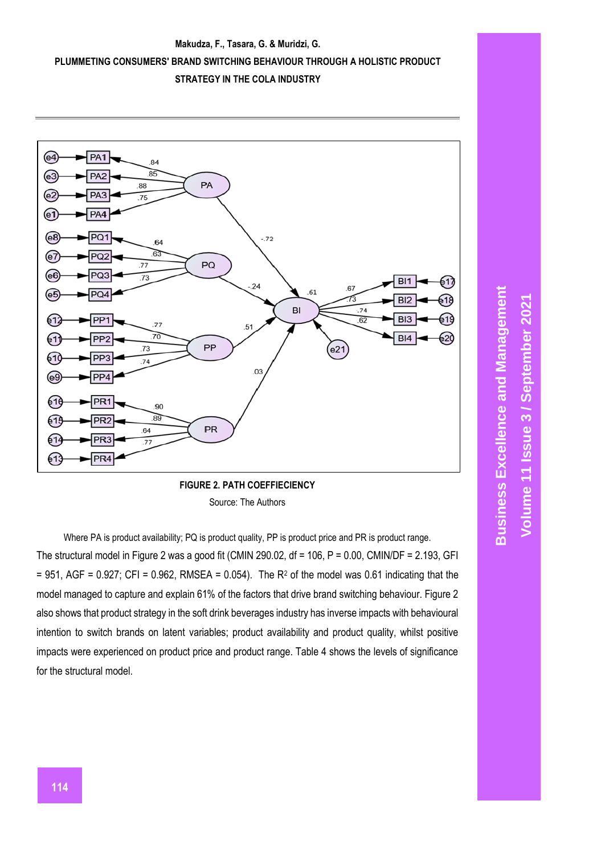



**FIGURE 2. PATH COEFFIECIENCY** Source: The Authors

Where PA is product availability; PQ is product quality, PP is product price and PR is product range. The structural model in Figure 2 was a good fit (CMIN 290.02, df = 106, P = 0.00, CMIN/DF = 2.193, GFI  $= 951$ , AGF = 0.927; CFI = 0.962, RMSEA = 0.054). The R<sup>2</sup> of the model was 0.61 indicating that the model managed to capture and explain 61% of the factors that drive brand switching behaviour. Figure 2 also shows that product strategy in the soft drink beverages industry has inverse impacts with behavioural intention to switch brands on latent variables; product availability and product quality, whilst positive impacts were experienced on product price and product range. Table 4 shows the levels of significance for the structural model.

**Business Excellence and Management Business Excellence and Management September 2021 3 / Volume 11 Issue**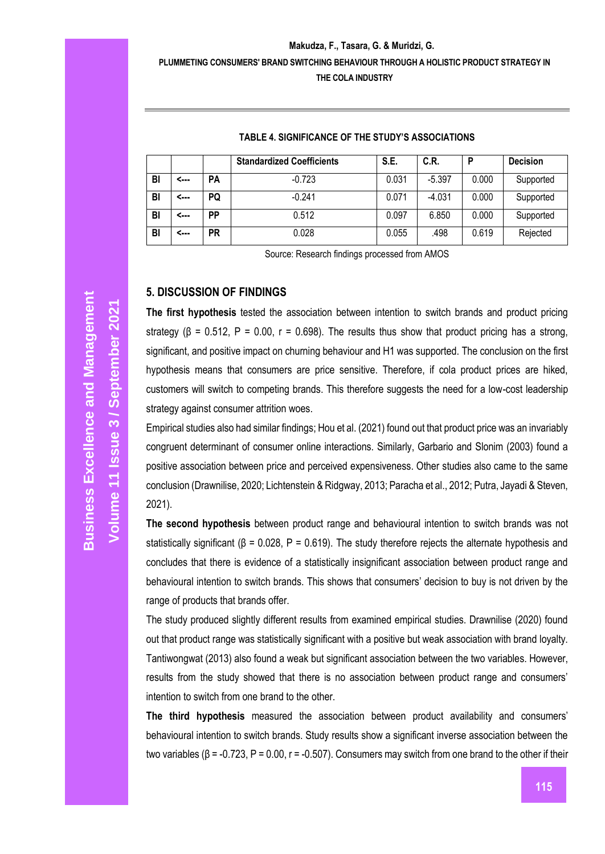|    |      |           | <b>Standardized Coefficients</b> | S.E.  | C.R.     | D     | <b>Decision</b> |
|----|------|-----------|----------------------------------|-------|----------|-------|-----------------|
| BI | <--- | <b>PA</b> | $-0.723$                         | 0.031 | $-5.397$ | 0.000 | Supported       |
| BI | <    | PQ        | $-0.241$                         | 0.071 | $-4.031$ | 0.000 | Supported       |
| BI | <--- | PP        | 0.512                            | 0.097 | 6.850    | 0.000 | Supported       |
| BI | <--- | PR        | 0.028                            | 0.055 | .498     | 0.619 | Rejected        |

#### **TABLE 4. SIGNIFICANCE OF THE STUDY'S ASSOCIATIONS**

Source: Research findings processed from AMOS

#### **5. DISCUSSION OF FINDINGS**

**The first hypothesis** tested the association between intention to switch brands and product pricing strategy ( $\beta$  = 0.512, P = 0.00, r = 0.698). The results thus show that product pricing has a strong, significant, and positive impact on churning behaviour and H1 was supported. The conclusion on the first hypothesis means that consumers are price sensitive. Therefore, if cola product prices are hiked, customers will switch to competing brands. This therefore suggests the need for a low-cost leadership strategy against consumer attrition woes.

Empirical studies also had similar findings; Hou et al. (2021) found out that product price was an invariably congruent determinant of consumer online interactions. Similarly, Garbario and Slonim (2003) found a positive association between price and perceived expensiveness. Other studies also came to the same conclusion (Drawnilise, 2020; Lichtenstein & Ridgway, 2013; Paracha et al., 2012; Putra, Jayadi & Steven, 2021).

**The second hypothesis** between product range and behavioural intention to switch brands was not statistically significant ( $\beta$  = 0.028, P = 0.619). The study therefore rejects the alternate hypothesis and concludes that there is evidence of a statistically insignificant association between product range and behavioural intention to switch brands. This shows that consumers' decision to buy is not driven by the range of products that brands offer.

The study produced slightly different results from examined empirical studies. Drawnilise (2020) found out that product range was statistically significant with a positive but weak association with brand loyalty. Tantiwongwat (2013) also found a weak but significant association between the two variables. However, results from the study showed that there is no association between product range and consumers' intention to switch from one brand to the other.

**The third hypothesis** measured the association between product availability and consumers' behavioural intention to switch brands. Study results show a significant inverse association between the two variables (β = -0.723, P = 0.00, r = -0.507). Consumers may switch from one brand to the other if their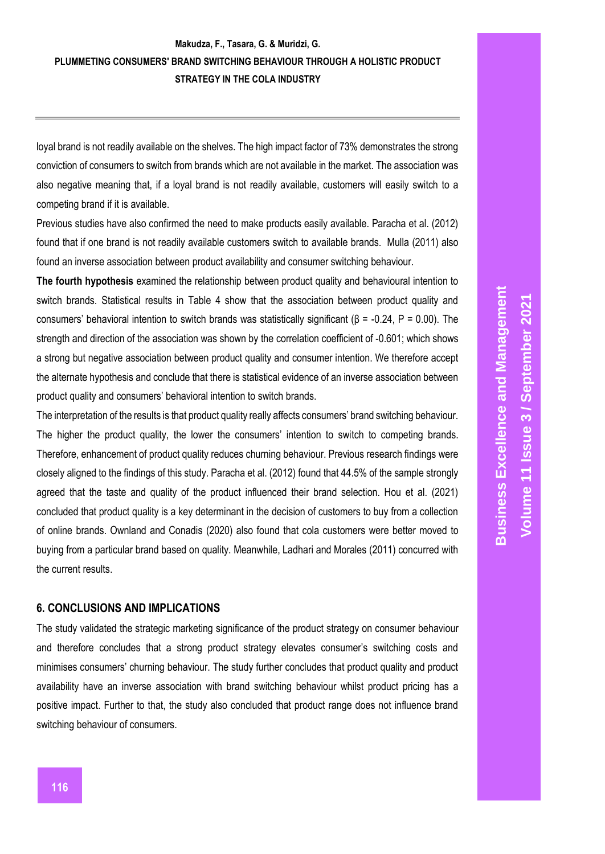loyal brand is not readily available on the shelves. The high impact factor of 73% demonstrates the strong conviction of consumers to switch from brands which are not available in the market. The association was also negative meaning that, if a loyal brand is not readily available, customers will easily switch to a competing brand if it is available.

Previous studies have also confirmed the need to make products easily available. Paracha et al. (2012) found that if one brand is not readily available customers switch to available brands. Mulla (2011) also found an inverse association between product availability and consumer switching behaviour.

**The fourth hypothesis** examined the relationship between product quality and behavioural intention to switch brands. Statistical results in Table 4 show that the association between product quality and consumers' behavioral intention to switch brands was statistically significant (β = -0.24, P = 0.00). The strength and direction of the association was shown by the correlation coefficient of -0.601; which shows a strong but negative association between product quality and consumer intention. We therefore accept the alternate hypothesis and conclude that there is statistical evidence of an inverse association between product quality and consumers' behavioral intention to switch brands.

The interpretation of the results is that product quality really affects consumers' brand switching behaviour. The higher the product quality, the lower the consumers' intention to switch to competing brands. Therefore, enhancement of product quality reduces churning behaviour. Previous research findings were closely aligned to the findings of this study. Paracha et al. (2012) found that 44.5% of the sample strongly agreed that the taste and quality of the product influenced their brand selection. Hou et al. (2021) concluded that product quality is a key determinant in the decision of customers to buy from a collection of online brands. Ownland and Conadis (2020) also found that cola customers were better moved to buying from a particular brand based on quality. Meanwhile, Ladhari and Morales (2011) concurred with the current results.

### **6. CONCLUSIONS AND IMPLICATIONS**

The study validated the strategic marketing significance of the product strategy on consumer behaviour and therefore concludes that a strong product strategy elevates consumer's switching costs and minimises consumers' churning behaviour. The study further concludes that product quality and product availability have an inverse association with brand switching behaviour whilst product pricing has a positive impact. Further to that, the study also concluded that product range does not influence brand switching behaviour of consumers.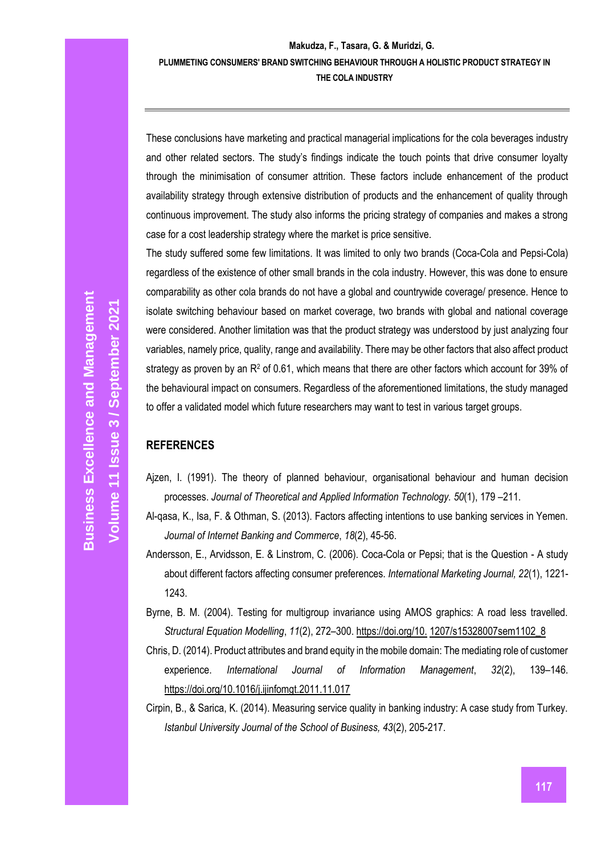These conclusions have marketing and practical managerial implications for the cola beverages industry and other related sectors. The study's findings indicate the touch points that drive consumer loyalty through the minimisation of consumer attrition. These factors include enhancement of the product availability strategy through extensive distribution of products and the enhancement of quality through continuous improvement. The study also informs the pricing strategy of companies and makes a strong case for a cost leadership strategy where the market is price sensitive.

The study suffered some few limitations. It was limited to only two brands (Coca-Cola and Pepsi-Cola) regardless of the existence of other small brands in the cola industry. However, this was done to ensure comparability as other cola brands do not have a global and countrywide coverage/ presence. Hence to isolate switching behaviour based on market coverage, two brands with global and national coverage were considered. Another limitation was that the product strategy was understood by just analyzing four variables, namely price, quality, range and availability. There may be other factors that also affect product strategy as proven by an R<sup>2</sup> of 0.61, which means that there are other factors which account for 39% of the behavioural impact on consumers. Regardless of the aforementioned limitations, the study managed to offer a validated model which future researchers may want to test in various target groups.

# **REFERENCES**

- Ajzen, I. (1991). The theory of planned behaviour, organisational behaviour and human decision processes. *Journal of Theoretical and Applied Information Technology. 50*(1), 179 –211.
- Al-qasa, K., Isa, F. & Othman, S. (2013). Factors affecting intentions to use banking services in Yemen. *Journal of Internet Banking and Commerce*, *18*(2), 45-56.
- Andersson, E., Arvidsson, E. & Linstrom, C. (2006). Coca-Cola or Pepsi; that is the Question A study about different factors affecting consumer preferences. *International Marketing Journal, 22*(1), 1221- 1243.
- Byrne, B. M. (2004). Testing for multigroup invariance using AMOS graphics: A road less travelled. *Structural Equation Modelling*, *11*(2), 272–300. [https://doi.org/10.](https://doi.org/10.1207/s15328007sem1102_8) [1207/s15328007sem1102\\_8](https://doi.org/10.1207/s15328007sem1102_8)
- Chris, D. (2014). Product attributes and brand equity in the mobile domain: The mediating role of customer experience. *International Journal of Information Management*, *32*(2), 139–146. <https://doi.org/10.1016/j.ijinfomgt.2011.11.017>
- Cirpin, B., & Sarica, K. (2014). Measuring service quality in banking industry: A case study from Turkey. *Istanbul University Journal of the School of Business, 43*(2), 205-217.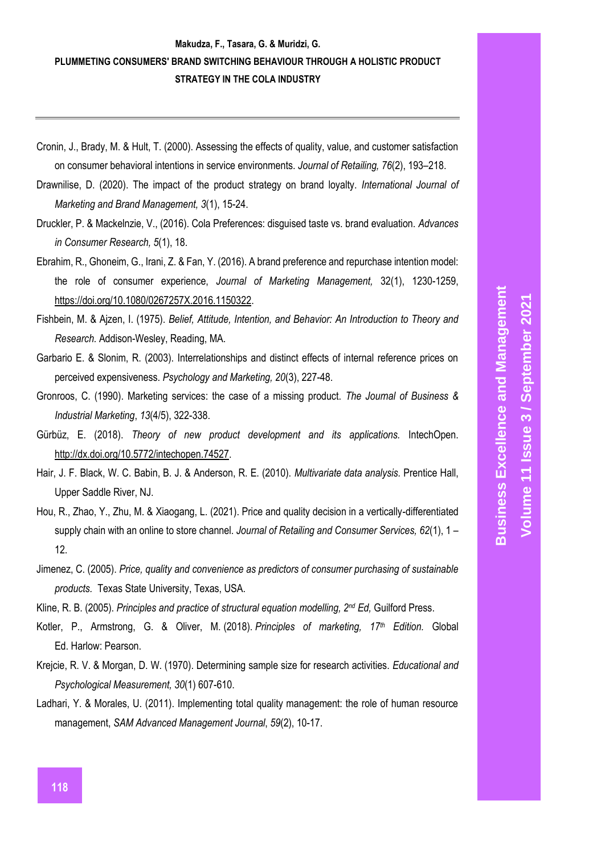- Cronin, J., Brady, M. & Hult, T. (2000). Assessing the effects of quality, value, and customer satisfaction on consumer behavioral intentions in service environments. *Journal of Retailing, 76*(2), 193–218.
- Drawnilise, D. (2020). The impact of the product strategy on brand loyalty. *International Journal of Marketing and Brand Management, 3*(1), 15-24.
- Druckler, P. & Mackelnzie, V., (2016). Cola Preferences: disguised taste vs. brand evaluation. *Advances in Consumer Research, 5*(1), 18.
- Ebrahim, R., Ghoneim, G., Irani, Z. & Fan, Y. (2016). A brand preference and repurchase intention model: the role of consumer experience, *Journal of Marketing Management,* 32(1), 1230-1259, [https://doi.org/10.1080/0267257X.2016.1150322.](https://doi.org/10.1080/0267257X.2016.1150322)
- Fishbein, M. & Ajzen, I. (1975). *Belief, Attitude, Intention, and Behavior: An Introduction to Theory and Research.* Addison-Wesley, Reading, MA.
- Garbario E. & Slonim, R. (2003). Interrelationships and distinct effects of internal reference prices on perceived expensiveness. *Psychology and Marketing, 20*(3), 227-48.
- Gronroos, C. (1990). Marketing services: the case of a missing product. *The Journal of Business & Industrial Marketing*, *13*(4/5), 322-338.
- Gürbüz, E. (2018). *Theory of new product development and its applications.* IntechOpen. [http://dx.doi.org/10.5772/intechopen.74527.](http://dx.doi.org/10.5772/intechopen.74527)
- Hair, J. F. Black, W. C. Babin, B. J. & Anderson, R. E. (2010). *Multivariate data analysis.* Prentice Hall, Upper Saddle River, NJ.
- Hou, R., Zhao, Y., Zhu, M. & Xiaogang, L. (2021). Price and quality decision in a vertically-differentiated supply chain with an online to store channel. *Journal of Retailing and Consumer Services, 62*(1), 1 – 12.
- Jimenez, C. (2005). *Price, quality and convenience as predictors of consumer purchasing of sustainable products.* Texas State University, Texas, USA.
- Kline, R. B. (2005). *Principles and practice of structural equation modelling, 2nd Ed,* Guilford Press.
- Kotler, P., Armstrong, G. & Oliver, M. (2018). *Principles of marketing, 17th Edition.* Global Ed. Harlow: Pearson.
- Krejcie, R. V. & Morgan, D. W. (1970). Determining sample size for research activities. *Educational and Psychological Measurement, 30*(1) 607-610.
- Ladhari, Y. & Morales, U. (2011). Implementing total quality management: the role of human resource management, *SAM Advanced Management Journal*, *59*(2), 10-17.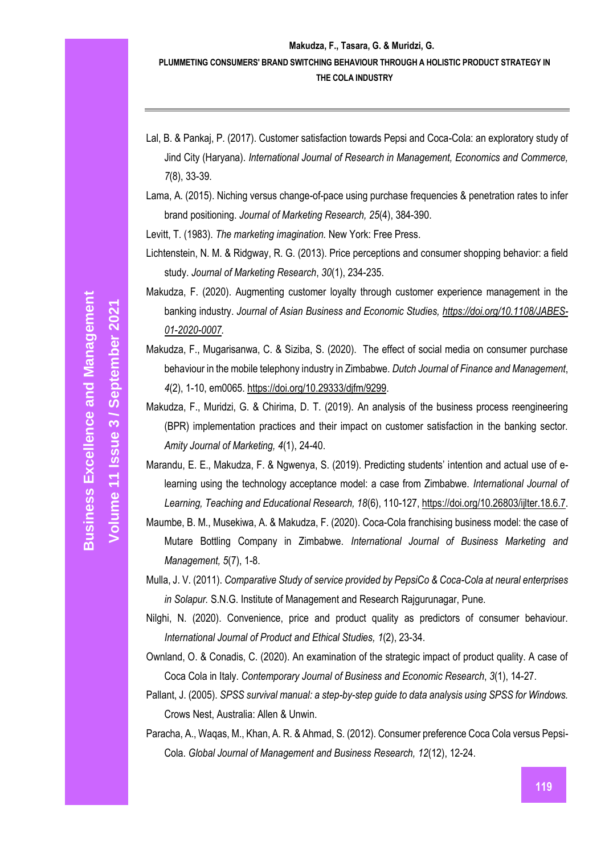- Lal, B. & Pankaj, P. (2017). Customer satisfaction towards Pepsi and Coca-Cola: an exploratory study of Jind City (Haryana). *International Journal of Research in Management, Economics and Commerce, 7*(8), 33-39.
- Lama, A. (2015). Niching versus change-of-pace using purchase frequencies & penetration rates to infer brand positioning. *Journal of Marketing Research, 25*(4), 384-390.

Levitt, T. (1983). *The marketing imagination.* New York: Free Press.

- Lichtenstein, N. M. & Ridgway, R. G. (2013). Price perceptions and consumer shopping behavior: a field study. *Journal of Marketing Research*, *30*(1), 234-235.
- Makudza, F. (2020). Augmenting customer loyalty through customer experience management in the banking industry. *Journal of Asian Business and Economic Studies, [https://doi.org/10.1108/JABES-](https://doi.org/10.1108/JABES-01-2020-0007)[01-2020-0007.](https://doi.org/10.1108/JABES-01-2020-0007)*
- Makudza, F., Mugarisanwa, C. & Siziba, S. (2020). The effect of social media on consumer purchase behaviour in the mobile telephony industry in Zimbabwe. *Dutch Journal of Finance and Management*, *4*(2), 1-10, em0065[. https://doi.org/10.29333/djfm/9299.](https://doi.org/10.29333/djfm/9299)
- Makudza, F., Muridzi, G. & Chirima, D. T. (2019). An analysis of the business process reengineering (BPR) implementation practices and their impact on customer satisfaction in the banking sector. *Amity Journal of Marketing, 4*(1), 24-40.
- Marandu, E. E., Makudza, F. & Ngwenya, S. (2019). Predicting students' intention and actual use of elearning using the technology acceptance model: a case from Zimbabwe. *International Journal of Learning, Teaching and Educational Research, 18*(6), 110-127[, https://doi.org/10.26803/ijlter.18.6.7.](https://doi.org/10.26803/ijlter.18.6.7)
- Maumbe, B. M., Musekiwa, A. & Makudza, F. (2020). Coca-Cola franchising business model: the case of Mutare Bottling Company in Zimbabwe. *International Journal of Business Marketing and Management, 5*(7), 1-8.
- Mulla, J. V. (2011). *Comparative Study of service provided by PepsiCo & Coca-Cola at neural enterprises in Solapur.* S.N.G. Institute of Management and Research Rajgurunagar, Pune.
- Nilghi, N. (2020). Convenience, price and product quality as predictors of consumer behaviour. *International Journal of Product and Ethical Studies, 1*(2), 23-34.

Ownland, O. & Conadis, C. (2020). An examination of the strategic impact of product quality. A case of Coca Cola in Italy. *Contemporary Journal of Business and Economic Research*, *3*(1), 14-27.

- Pallant, J. (2005). *SPSS survival manual: a step-by-step guide to data analysis using SPSS for Windows.*  Crows Nest, Australia: Allen & Unwin.
- Paracha, A., Waqas, M., Khan, A. R. & Ahmad, S. (2012). Consumer preference Coca Cola versus Pepsi-Cola. *Global Journal of Management and Business Research, 12*(12), 12-24.